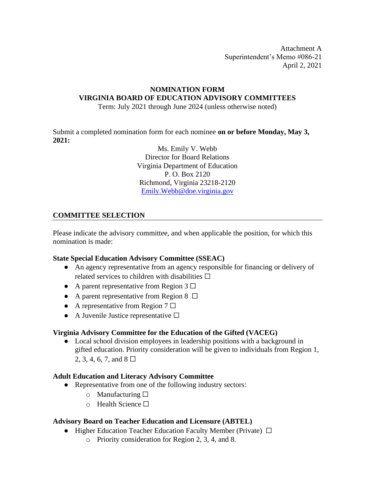## **NOMINATION FORM VIRGINIA BOARD OF EDUCATION ADVISORY COMMITTEES**

Term: July 2021 through June 2024 (unless otherwise noted)

Submit a completed nomination form for each nominee **on or before Monday, May 3, 2021:** 

> Ms. Emily V. Webb Director for Board Relations Virginia Department of Education P. O. Box 2120 Richmond, Virginia 23218-2120 Emily.Webb@doe.virginia.gov

## **COMMITTEE SELECTION**

Please indicate the advisory committee, and when applicable the position, for which this nomination is made:

### **State Special Education Advisory Committee (SSEAC)**

- An agency representative from an agency responsible for financing or delivery of related services to children with disabilities  $\Box$
- A parent representative from Region  $3 \Box$
- A parent representative from Region  $8 \Box$
- A representative from Region  $7 \Box$
- A Juvenile Justice representative  $\Box$

### **Virginia Advisory Committee for the Education of the Gifted (VACEG)**

Local school division employees in leadership positions with a background in gifted education. Priority consideration will be given to individuals from Region 1, 2, 3, 4, 6, 7, and  $8 \Box$ 

### **Adult Education and Literacy Advisory Committee**

- Representative from one of the following industry sectors:
	- $\circ$  Manufacturing  $\Box$
	- o Health Science ☐

### **Advisory Board on Teacher Education and Licensure (ABTEL)**

- Higher Education Teacher Education Faculty Member (Private) □
	- o Priority consideration for Region 2, 3, 4, and 8.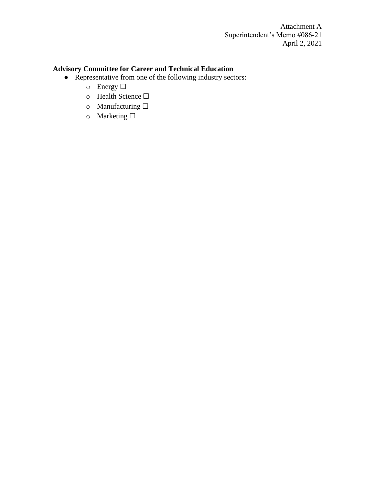# **Advisory Committee for Career and Technical Education**

- Representative from one of the following industry sectors:
	- o Energy ☐
	- o Health Science ☐
	- o Manufacturing ☐
	- o Marketing  $\Box$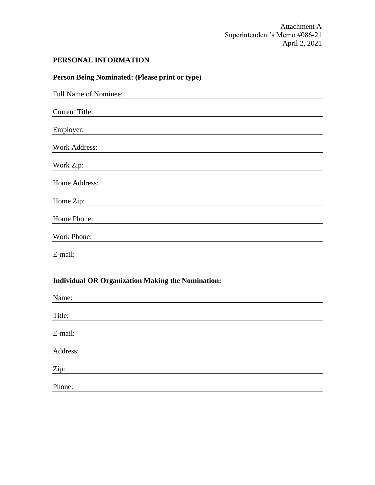# **PERSONAL INFORMATION**

| Person Being Nominated: (Please print or type)           |
|----------------------------------------------------------|
| Full Name of Nominee:                                    |
| <b>Current Title:</b>                                    |
| Employer:                                                |
| <b>Work Address:</b>                                     |
| Work Zip:                                                |
| Home Address:                                            |
| Home Zip:                                                |
| Home Phone:                                              |
| Work Phone:                                              |
| E-mail:                                                  |
| <b>Individual OR Organization Making the Nomination:</b> |
| Name:                                                    |
| Title:                                                   |
| E-mail:                                                  |
| Address:                                                 |

Zip:

Phone: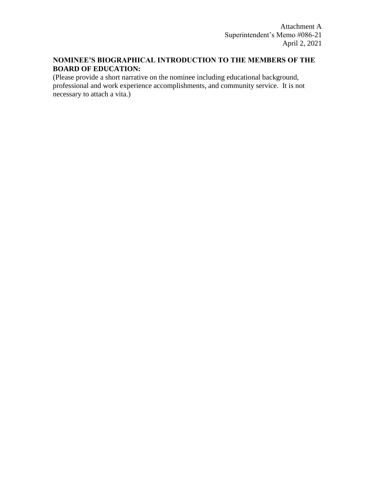# **NOMINEE'S BIOGRAPHICAL INTRODUCTION TO THE MEMBERS OF THE BOARD OF EDUCATION:**

(Please provide a short narrative on the nominee including educational background, professional and work experience accomplishments, and community service. It is not necessary to attach a vita.)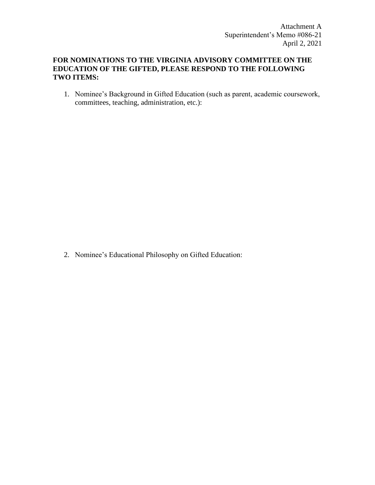### **FOR NOMINATIONS TO THE VIRGINIA ADVISORY COMMITTEE ON THE EDUCATION OF THE GIFTED, PLEASE RESPOND TO THE FOLLOWING TWO ITEMS:**

1. Nominee's Background in Gifted Education (such as parent, academic coursework, committees, teaching, administration, etc.):

2. Nominee's Educational Philosophy on Gifted Education: